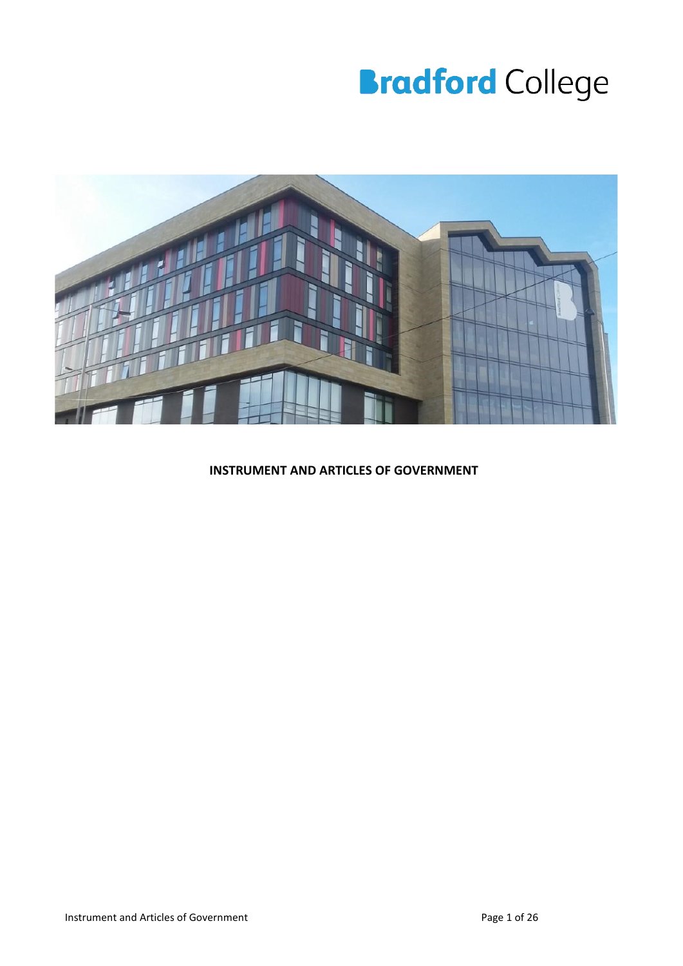# **Bradford College**



#### **INSTRUMENT AND ARTICLES OF GOVERNMENT**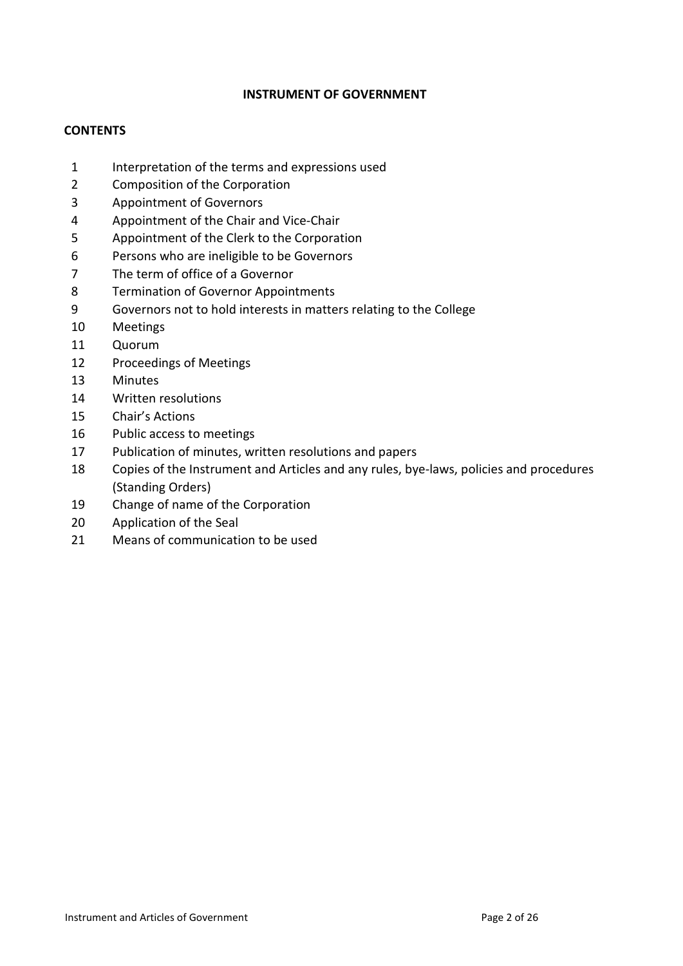#### **INSTRUMENT OF GOVERNMENT**

#### **CONTENTS**

- Interpretation of the terms and expressions used
- Composition of the Corporation
- Appointment of Governors
- Appointment of the Chair and Vice-Chair
- Appointment of the Clerk to the Corporation
- Persons who are ineligible to be Governors
- The term of office of a Governor
- Termination of Governor Appointments
- Governors not to hold interests in matters relating to the College
- Meetings
- Quorum
- Proceedings of Meetings
- Minutes
- Written resolutions
- Chair's Actions
- Public access to meetings
- Publication of minutes, written resolutions and papers
- Copies of the Instrument and Articles and any rules, bye-laws, policies and procedures (Standing Orders)
- Change of name of the Corporation
- Application of the Seal
- Means of communication to be used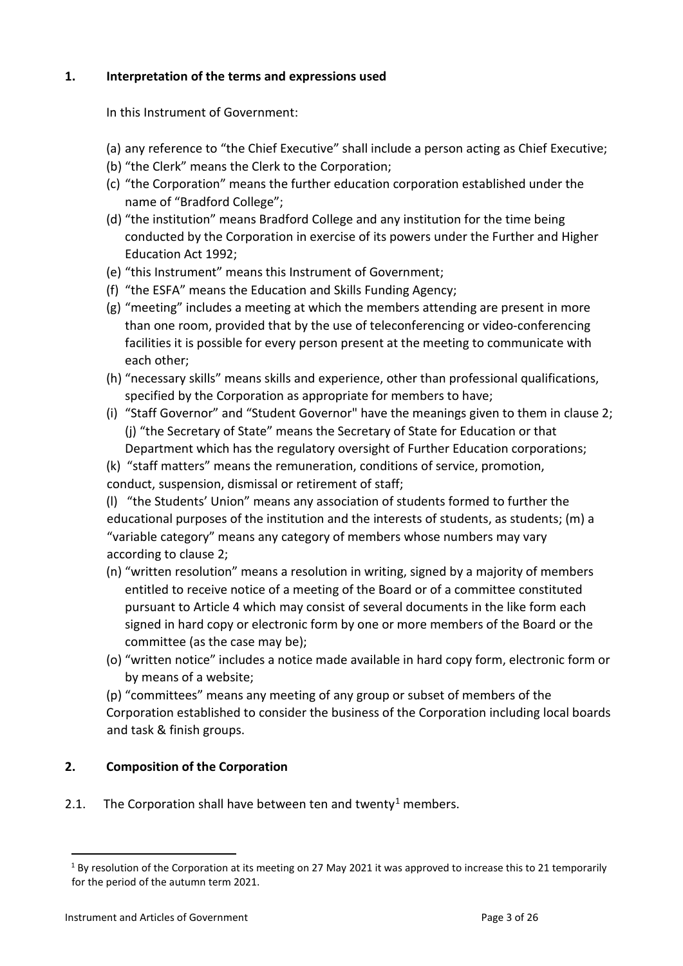## **1. Interpretation of the terms and expressions used**

In this Instrument of Government:

- (a) any reference to "the Chief Executive" shall include a person acting as Chief Executive;
- (b) "the Clerk" means the Clerk to the Corporation;
- (c) "the Corporation" means the further education corporation established under the name of "Bradford College";
- (d) "the institution" means Bradford College and any institution for the time being conducted by the Corporation in exercise of its powers under the Further and Higher Education Act 1992;
- (e) "this Instrument" means this Instrument of Government;
- (f) "the ESFA" means the Education and Skills Funding Agency;
- (g) "meeting" includes a meeting at which the members attending are present in more than one room, provided that by the use of teleconferencing or video-conferencing facilities it is possible for every person present at the meeting to communicate with each other;
- (h) "necessary skills" means skills and experience, other than professional qualifications, specified by the Corporation as appropriate for members to have;
- (i) "Staff Governor" and "Student Governor" have the meanings given to them in clause 2; (j) "the Secretary of State" means the Secretary of State for Education or that Department which has the regulatory oversight of Further Education corporations;
- (k) "staff matters" means the remuneration, conditions of service, promotion,
- conduct, suspension, dismissal or retirement of staff;
- (l) "the Students' Union" means any association of students formed to further the educational purposes of the institution and the interests of students, as students; (m) a "variable category" means any category of members whose numbers may vary according to clause 2;
- (n) "written resolution" means a resolution in writing, signed by a majority of members entitled to receive notice of a meeting of the Board or of a committee constituted pursuant to Article 4 which may consist of several documents in the like form each signed in hard copy or electronic form by one or more members of the Board or the committee (as the case may be);
- (o) "written notice" includes a notice made available in hard copy form, electronic form or by means of a website;

(p) "committees" means any meeting of any group or subset of members of the Corporation established to consider the business of the Corporation including local boards and task & finish groups.

# **2. Composition of the Corporation**

2.[1](#page-2-0). The Corporation shall have between ten and twenty<sup>1</sup> members.

<span id="page-2-0"></span> $1$  By resolution of the Corporation at its meeting on 27 May 2021 it was approved to increase this to 21 temporarily for the period of the autumn term 2021.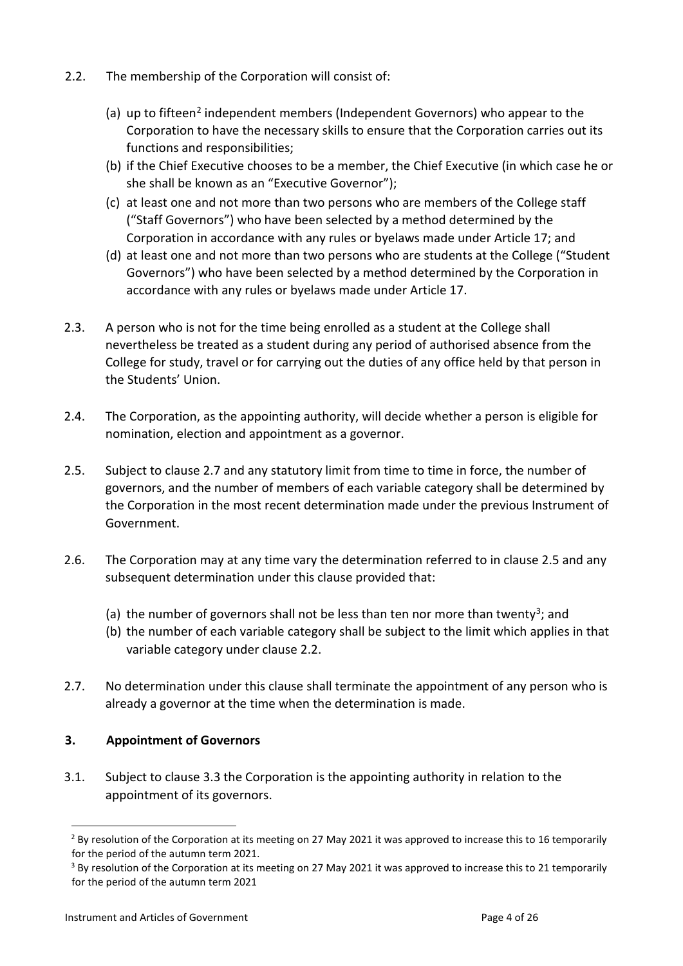- 2.2. The membership of the Corporation will consist of:
	- (a) up to fifteen<sup>2</sup> independent members (Independent Governors) who appear to the Corporation to have the necessary skills to ensure that the Corporation carries out its functions and responsibilities;
	- (b) if the Chief Executive chooses to be a member, the Chief Executive (in which case he or she shall be known as an "Executive Governor");
	- (c) at least one and not more than two persons who are members of the College staff ("Staff Governors") who have been selected by a method determined by the Corporation in accordance with any rules or byelaws made under Article 17; and
	- (d) at least one and not more than two persons who are students at the College ("Student Governors") who have been selected by a method determined by the Corporation in accordance with any rules or byelaws made under Article 17.
- 2.3. A person who is not for the time being enrolled as a student at the College shall nevertheless be treated as a student during any period of authorised absence from the College for study, travel or for carrying out the duties of any office held by that person in the Students' Union.
- 2.4. The Corporation, as the appointing authority, will decide whether a person is eligible for nomination, election and appointment as a governor.
- 2.5. Subject to clause 2.7 and any statutory limit from time to time in force, the number of governors, and the number of members of each variable category shall be determined by the Corporation in the most recent determination made under the previous Instrument of Government.
- 2.6. The Corporation may at any time vary the determination referred to in clause 2.5 and any subsequent determination under this clause provided that:
	- (a) the number of governors shall not be less than ten nor more than twenty<sup>3</sup>; and
	- (b) the number of each variable category shall be subject to the limit which applies in that variable category under clause 2.2.
- 2.7. No determination under this clause shall terminate the appointment of any person who is already a governor at the time when the determination is made.

# **3. Appointment of Governors**

3.1. Subject to clause 3.3 the Corporation is the appointing authority in relation to the appointment of its governors.

<span id="page-3-0"></span> $2$  By resolution of the Corporation at its meeting on 27 May 2021 it was approved to increase this to 16 temporarily for the period of the autumn term 2021.

<span id="page-3-1"></span><sup>&</sup>lt;sup>3</sup> By resolution of the Corporation at its meeting on 27 May 2021 it was approved to increase this to 21 temporarily for the period of the autumn term 2021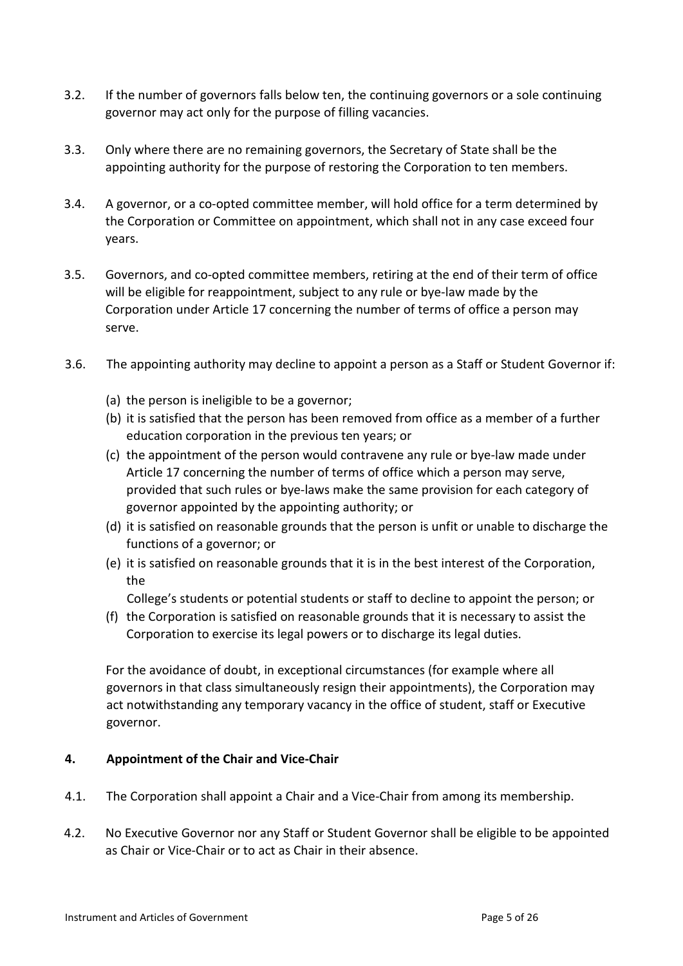- 3.2. If the number of governors falls below ten, the continuing governors or a sole continuing governor may act only for the purpose of filling vacancies.
- 3.3. Only where there are no remaining governors, the Secretary of State shall be the appointing authority for the purpose of restoring the Corporation to ten members.
- 3.4. A governor, or a co-opted committee member, will hold office for a term determined by the Corporation or Committee on appointment, which shall not in any case exceed four years.
- 3.5. Governors, and co-opted committee members, retiring at the end of their term of office will be eligible for reappointment, subject to any rule or bye-law made by the Corporation under Article 17 concerning the number of terms of office a person may serve.
- 3.6. The appointing authority may decline to appoint a person as a Staff or Student Governor if:
	- (a) the person is ineligible to be a governor;
	- (b) it is satisfied that the person has been removed from office as a member of a further education corporation in the previous ten years; or
	- (c) the appointment of the person would contravene any rule or bye-law made under Article 17 concerning the number of terms of office which a person may serve, provided that such rules or bye-laws make the same provision for each category of governor appointed by the appointing authority; or
	- (d) it is satisfied on reasonable grounds that the person is unfit or unable to discharge the functions of a governor; or
	- (e) it is satisfied on reasonable grounds that it is in the best interest of the Corporation, the

College's students or potential students or staff to decline to appoint the person; or

(f) the Corporation is satisfied on reasonable grounds that it is necessary to assist the Corporation to exercise its legal powers or to discharge its legal duties.

For the avoidance of doubt, in exceptional circumstances (for example where all governors in that class simultaneously resign their appointments), the Corporation may act notwithstanding any temporary vacancy in the office of student, staff or Executive governor.

## **4. Appointment of the Chair and Vice-Chair**

- 4.1. The Corporation shall appoint a Chair and a Vice-Chair from among its membership.
- 4.2. No Executive Governor nor any Staff or Student Governor shall be eligible to be appointed as Chair or Vice-Chair or to act as Chair in their absence.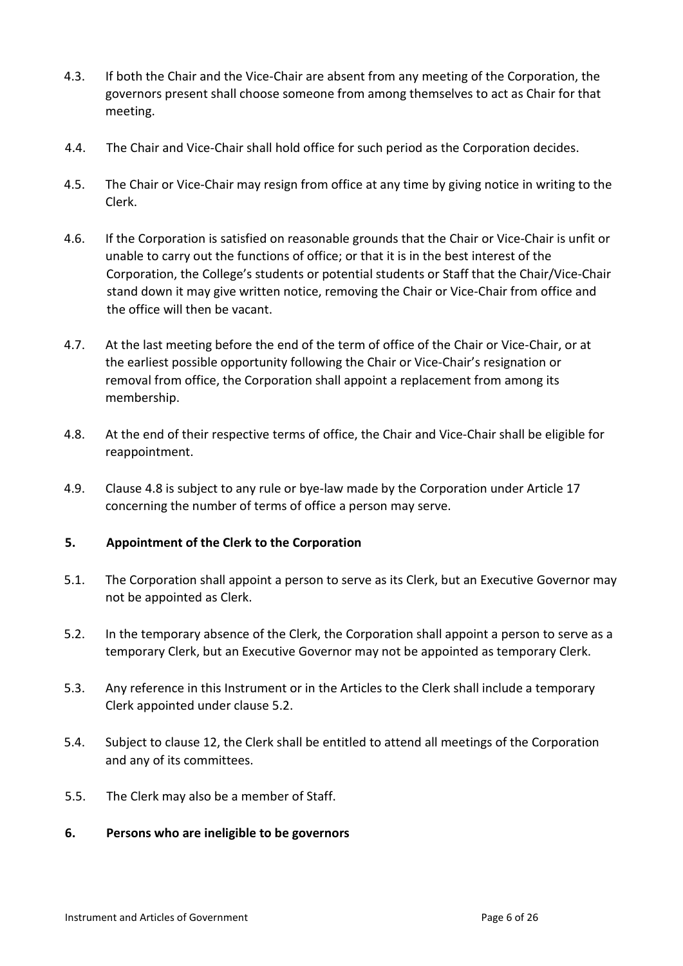- 4.3. If both the Chair and the Vice-Chair are absent from any meeting of the Corporation, the governors present shall choose someone from among themselves to act as Chair for that meeting.
- 4.4. The Chair and Vice-Chair shall hold office for such period as the Corporation decides.
- 4.5. The Chair or Vice-Chair may resign from office at any time by giving notice in writing to the Clerk.
- 4.6. If the Corporation is satisfied on reasonable grounds that the Chair or Vice-Chair is unfit or unable to carry out the functions of office; or that it is in the best interest of the Corporation, the College's students or potential students or Staff that the Chair/Vice-Chair stand down it may give written notice, removing the Chair or Vice-Chair from office and the office will then be vacant.
- 4.7. At the last meeting before the end of the term of office of the Chair or Vice-Chair, or at the earliest possible opportunity following the Chair or Vice-Chair's resignation or removal from office, the Corporation shall appoint a replacement from among its membership.
- 4.8. At the end of their respective terms of office, the Chair and Vice-Chair shall be eligible for reappointment.
- 4.9. Clause 4.8 is subject to any rule or bye-law made by the Corporation under Article 17 concerning the number of terms of office a person may serve.

## **5. Appointment of the Clerk to the Corporation**

- 5.1. The Corporation shall appoint a person to serve as its Clerk, but an Executive Governor may not be appointed as Clerk.
- 5.2. In the temporary absence of the Clerk, the Corporation shall appoint a person to serve as a temporary Clerk, but an Executive Governor may not be appointed as temporary Clerk.
- 5.3. Any reference in this Instrument or in the Articles to the Clerk shall include a temporary Clerk appointed under clause 5.2.
- 5.4. Subject to clause 12, the Clerk shall be entitled to attend all meetings of the Corporation and any of its committees.
- 5.5. The Clerk may also be a member of Staff.
- **6. Persons who are ineligible to be governors**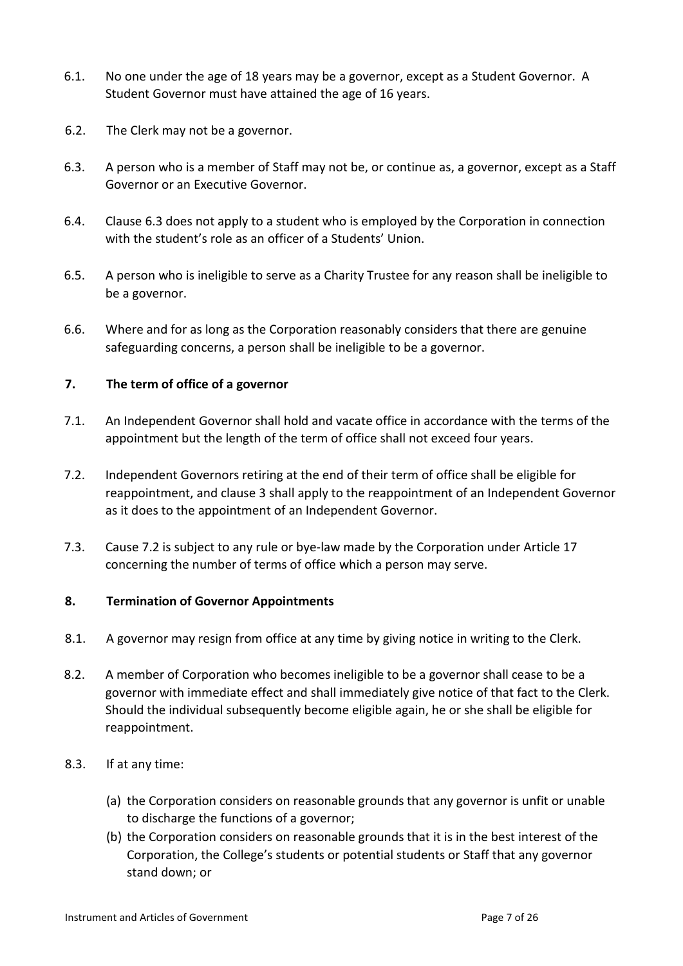- 6.1. No one under the age of 18 years may be a governor, except as a Student Governor. A Student Governor must have attained the age of 16 years.
- 6.2. The Clerk may not be a governor.
- 6.3. A person who is a member of Staff may not be, or continue as, a governor, except as a Staff Governor or an Executive Governor.
- 6.4. Clause 6.3 does not apply to a student who is employed by the Corporation in connection with the student's role as an officer of a Students' Union.
- 6.5. A person who is ineligible to serve as a Charity Trustee for any reason shall be ineligible to be a governor.
- 6.6. Where and for as long as the Corporation reasonably considers that there are genuine safeguarding concerns, a person shall be ineligible to be a governor.

## **7. The term of office of a governor**

- 7.1. An Independent Governor shall hold and vacate office in accordance with the terms of the appointment but the length of the term of office shall not exceed four years.
- 7.2. Independent Governors retiring at the end of their term of office shall be eligible for reappointment, and clause 3 shall apply to the reappointment of an Independent Governor as it does to the appointment of an Independent Governor.
- 7.3. Cause 7.2 is subject to any rule or bye-law made by the Corporation under Article 17 concerning the number of terms of office which a person may serve.

#### **8. Termination of Governor Appointments**

- 8.1. A governor may resign from office at any time by giving notice in writing to the Clerk.
- 8.2. A member of Corporation who becomes ineligible to be a governor shall cease to be a governor with immediate effect and shall immediately give notice of that fact to the Clerk. Should the individual subsequently become eligible again, he or she shall be eligible for reappointment.
- 8.3. If at any time:
	- (a) the Corporation considers on reasonable grounds that any governor is unfit or unable to discharge the functions of a governor;
	- (b) the Corporation considers on reasonable grounds that it is in the best interest of the Corporation, the College's students or potential students or Staff that any governor stand down; or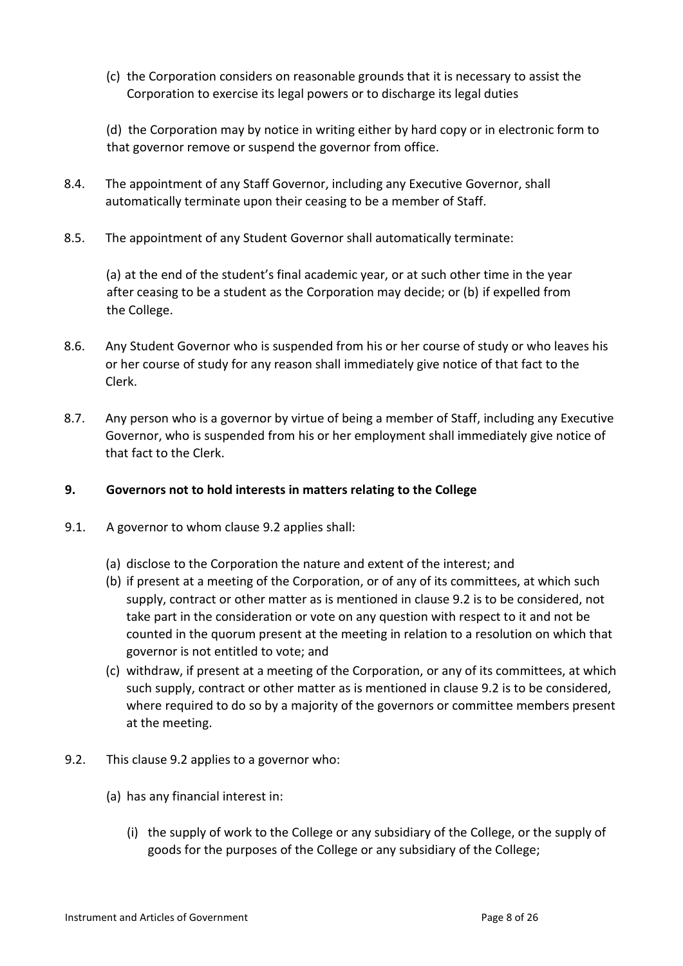(c) the Corporation considers on reasonable grounds that it is necessary to assist the Corporation to exercise its legal powers or to discharge its legal duties

(d) the Corporation may by notice in writing either by hard copy or in electronic form to that governor remove or suspend the governor from office.

- 8.4. The appointment of any Staff Governor, including any Executive Governor, shall automatically terminate upon their ceasing to be a member of Staff.
- 8.5. The appointment of any Student Governor shall automatically terminate:

(a) at the end of the student's final academic year, or at such other time in the year after ceasing to be a student as the Corporation may decide; or (b) if expelled from the College.

- 8.6. Any Student Governor who is suspended from his or her course of study or who leaves his or her course of study for any reason shall immediately give notice of that fact to the Clerk.
- 8.7. Any person who is a governor by virtue of being a member of Staff, including any Executive Governor, who is suspended from his or her employment shall immediately give notice of that fact to the Clerk.

#### **9. Governors not to hold interests in matters relating to the College**

- 9.1. A governor to whom clause 9.2 applies shall:
	- (a) disclose to the Corporation the nature and extent of the interest; and
	- (b) if present at a meeting of the Corporation, or of any of its committees, at which such supply, contract or other matter as is mentioned in clause 9.2 is to be considered, not take part in the consideration or vote on any question with respect to it and not be counted in the quorum present at the meeting in relation to a resolution on which that governor is not entitled to vote; and
	- (c) withdraw, if present at a meeting of the Corporation, or any of its committees, at which such supply, contract or other matter as is mentioned in clause 9.2 is to be considered, where required to do so by a majority of the governors or committee members present at the meeting.
- 9.2. This clause 9.2 applies to a governor who:
	- (a) has any financial interest in:
		- (i) the supply of work to the College or any subsidiary of the College, or the supply of goods for the purposes of the College or any subsidiary of the College;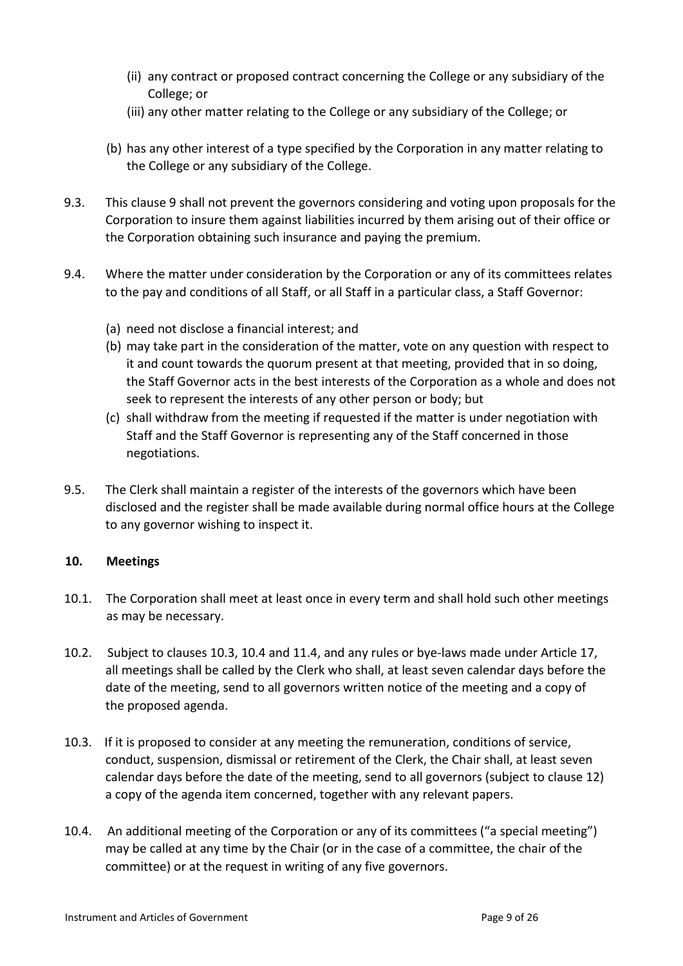- (ii) any contract or proposed contract concerning the College or any subsidiary of the College; or
- (iii) any other matter relating to the College or any subsidiary of the College; or
- (b) has any other interest of a type specified by the Corporation in any matter relating to the College or any subsidiary of the College.
- 9.3. This clause 9 shall not prevent the governors considering and voting upon proposals for the Corporation to insure them against liabilities incurred by them arising out of their office or the Corporation obtaining such insurance and paying the premium.
- 9.4. Where the matter under consideration by the Corporation or any of its committees relates to the pay and conditions of all Staff, or all Staff in a particular class, a Staff Governor:
	- (a) need not disclose a financial interest; and
	- (b) may take part in the consideration of the matter, vote on any question with respect to it and count towards the quorum present at that meeting, provided that in so doing, the Staff Governor acts in the best interests of the Corporation as a whole and does not seek to represent the interests of any other person or body; but
	- (c) shall withdraw from the meeting if requested if the matter is under negotiation with Staff and the Staff Governor is representing any of the Staff concerned in those negotiations.
- 9.5. The Clerk shall maintain a register of the interests of the governors which have been disclosed and the register shall be made available during normal office hours at the College to any governor wishing to inspect it.

## **10. Meetings**

- 10.1. The Corporation shall meet at least once in every term and shall hold such other meetings as may be necessary.
- 10.2. Subject to clauses 10.3, 10.4 and 11.4, and any rules or bye-laws made under Article 17, all meetings shall be called by the Clerk who shall, at least seven calendar days before the date of the meeting, send to all governors written notice of the meeting and a copy of the proposed agenda.
- 10.3. If it is proposed to consider at any meeting the remuneration, conditions of service, conduct, suspension, dismissal or retirement of the Clerk, the Chair shall, at least seven calendar days before the date of the meeting, send to all governors (subject to clause 12) a copy of the agenda item concerned, together with any relevant papers.
- 10.4. An additional meeting of the Corporation or any of its committees ("a special meeting") may be called at any time by the Chair (or in the case of a committee, the chair of the committee) or at the request in writing of any five governors.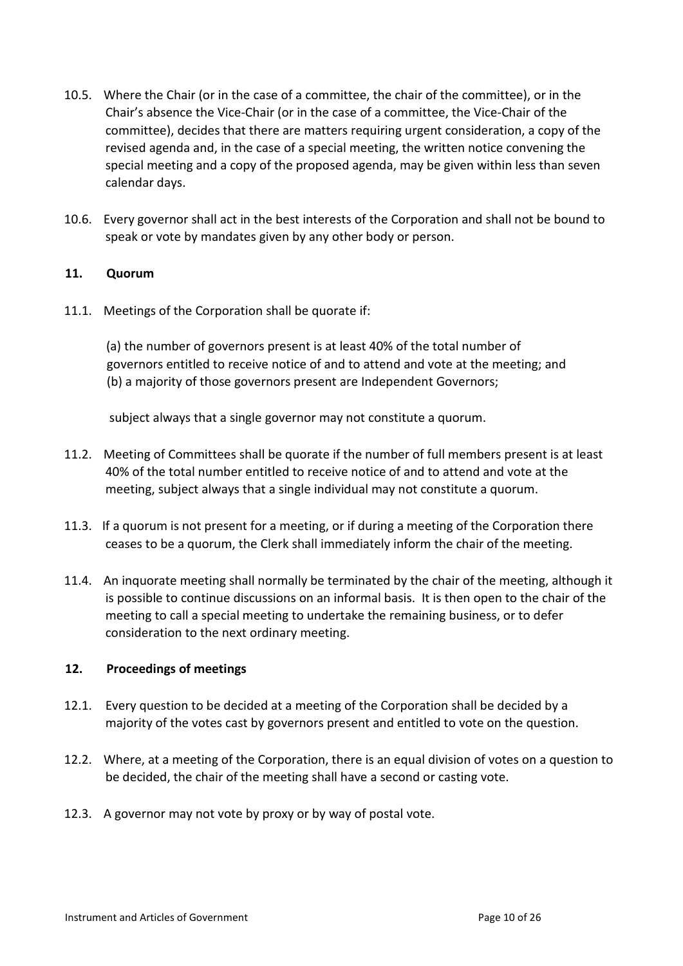- 10.5. Where the Chair (or in the case of a committee, the chair of the committee), or in the Chair's absence the Vice-Chair (or in the case of a committee, the Vice-Chair of the committee), decides that there are matters requiring urgent consideration, a copy of the revised agenda and, in the case of a special meeting, the written notice convening the special meeting and a copy of the proposed agenda, may be given within less than seven calendar days.
- 10.6. Every governor shall act in the best interests of the Corporation and shall not be bound to speak or vote by mandates given by any other body or person.

## **11. Quorum**

11.1. Meetings of the Corporation shall be quorate if:

(a) the number of governors present is at least 40% of the total number of governors entitled to receive notice of and to attend and vote at the meeting; and (b) a majority of those governors present are Independent Governors;

subject always that a single governor may not constitute a quorum.

- 11.2. Meeting of Committees shall be quorate if the number of full members present is at least 40% of the total number entitled to receive notice of and to attend and vote at the meeting, subject always that a single individual may not constitute a quorum.
- 11.3. If a quorum is not present for a meeting, or if during a meeting of the Corporation there ceases to be a quorum, the Clerk shall immediately inform the chair of the meeting.
- 11.4. An inquorate meeting shall normally be terminated by the chair of the meeting, although it is possible to continue discussions on an informal basis. It is then open to the chair of the meeting to call a special meeting to undertake the remaining business, or to defer consideration to the next ordinary meeting.

#### **12. Proceedings of meetings**

- 12.1. Every question to be decided at a meeting of the Corporation shall be decided by a majority of the votes cast by governors present and entitled to vote on the question.
- 12.2. Where, at a meeting of the Corporation, there is an equal division of votes on a question to be decided, the chair of the meeting shall have a second or casting vote.
- 12.3. A governor may not vote by proxy or by way of postal vote.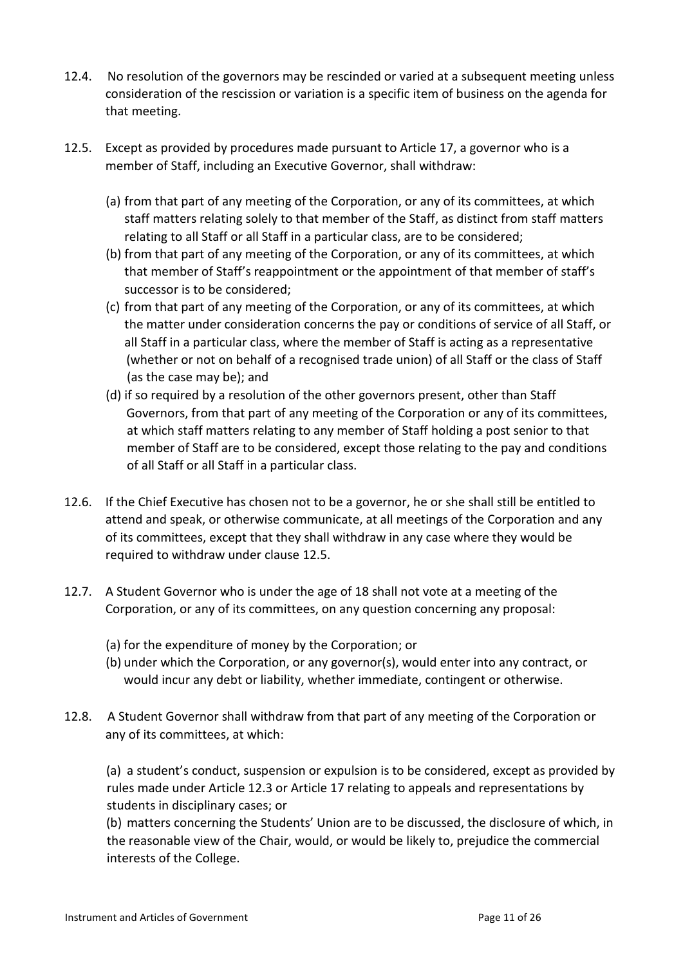- 12.4. No resolution of the governors may be rescinded or varied at a subsequent meeting unless consideration of the rescission or variation is a specific item of business on the agenda for that meeting.
- 12.5. Except as provided by procedures made pursuant to Article 17, a governor who is a member of Staff, including an Executive Governor, shall withdraw:
	- (a) from that part of any meeting of the Corporation, or any of its committees, at which staff matters relating solely to that member of the Staff, as distinct from staff matters relating to all Staff or all Staff in a particular class, are to be considered;
	- (b) from that part of any meeting of the Corporation, or any of its committees, at which that member of Staff's reappointment or the appointment of that member of staff's successor is to be considered;
	- (c) from that part of any meeting of the Corporation, or any of its committees, at which the matter under consideration concerns the pay or conditions of service of all Staff, or all Staff in a particular class, where the member of Staff is acting as a representative (whether or not on behalf of a recognised trade union) of all Staff or the class of Staff (as the case may be); and
	- (d) if so required by a resolution of the other governors present, other than Staff Governors, from that part of any meeting of the Corporation or any of its committees, at which staff matters relating to any member of Staff holding a post senior to that member of Staff are to be considered, except those relating to the pay and conditions of all Staff or all Staff in a particular class.
- 12.6. If the Chief Executive has chosen not to be a governor, he or she shall still be entitled to attend and speak, or otherwise communicate, at all meetings of the Corporation and any of its committees, except that they shall withdraw in any case where they would be required to withdraw under clause 12.5.
- 12.7. A Student Governor who is under the age of 18 shall not vote at a meeting of the Corporation, or any of its committees, on any question concerning any proposal:
	- (a) for the expenditure of money by the Corporation; or
	- (b) under which the Corporation, or any governor(s), would enter into any contract, or would incur any debt or liability, whether immediate, contingent or otherwise.
- 12.8. A Student Governor shall withdraw from that part of any meeting of the Corporation or any of its committees, at which:

(a) a student's conduct, suspension or expulsion is to be considered, except as provided by rules made under Article 12.3 or Article 17 relating to appeals and representations by students in disciplinary cases; or

(b) matters concerning the Students' Union are to be discussed, the disclosure of which, in the reasonable view of the Chair, would, or would be likely to, prejudice the commercial interests of the College.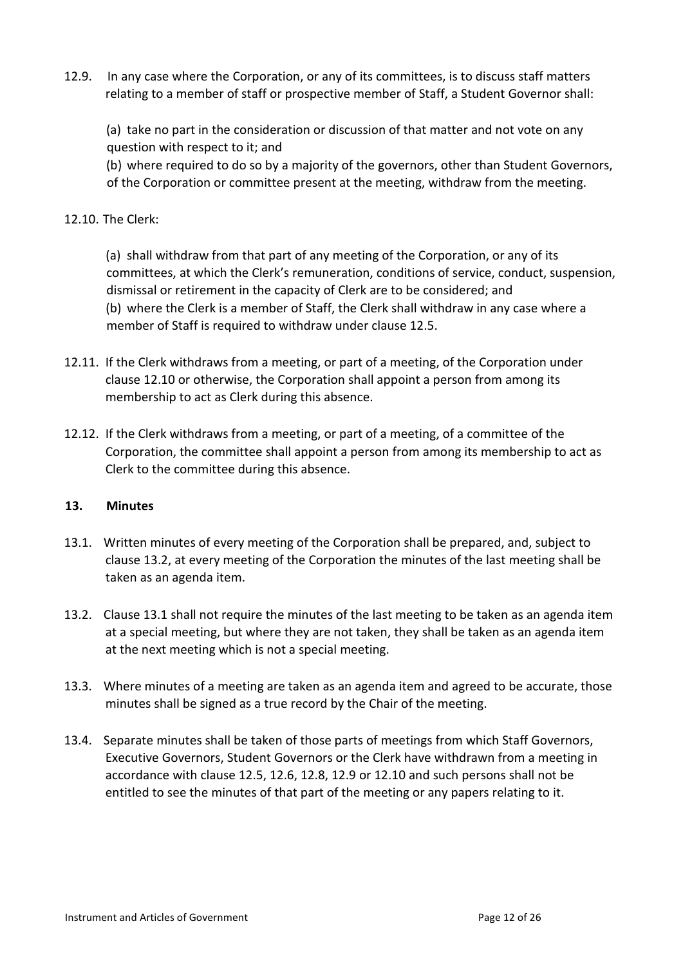12.9. In any case where the Corporation, or any of its committees, is to discuss staff matters relating to a member of staff or prospective member of Staff, a Student Governor shall:

(a) take no part in the consideration or discussion of that matter and not vote on any question with respect to it; and

(b) where required to do so by a majority of the governors, other than Student Governors, of the Corporation or committee present at the meeting, withdraw from the meeting.

## 12.10. The Clerk:

(a) shall withdraw from that part of any meeting of the Corporation, or any of its committees, at which the Clerk's remuneration, conditions of service, conduct, suspension, dismissal or retirement in the capacity of Clerk are to be considered; and (b) where the Clerk is a member of Staff, the Clerk shall withdraw in any case where a member of Staff is required to withdraw under clause 12.5.

- 12.11. If the Clerk withdraws from a meeting, or part of a meeting, of the Corporation under clause 12.10 or otherwise, the Corporation shall appoint a person from among its membership to act as Clerk during this absence.
- 12.12. If the Clerk withdraws from a meeting, or part of a meeting, of a committee of the Corporation, the committee shall appoint a person from among its membership to act as Clerk to the committee during this absence.

#### **13. Minutes**

- 13.1. Written minutes of every meeting of the Corporation shall be prepared, and, subject to clause 13.2, at every meeting of the Corporation the minutes of the last meeting shall be taken as an agenda item.
- 13.2. Clause 13.1 shall not require the minutes of the last meeting to be taken as an agenda item at a special meeting, but where they are not taken, they shall be taken as an agenda item at the next meeting which is not a special meeting.
- 13.3. Where minutes of a meeting are taken as an agenda item and agreed to be accurate, those minutes shall be signed as a true record by the Chair of the meeting.
- 13.4. Separate minutes shall be taken of those parts of meetings from which Staff Governors, Executive Governors, Student Governors or the Clerk have withdrawn from a meeting in accordance with clause 12.5, 12.6, 12.8, 12.9 or 12.10 and such persons shall not be entitled to see the minutes of that part of the meeting or any papers relating to it.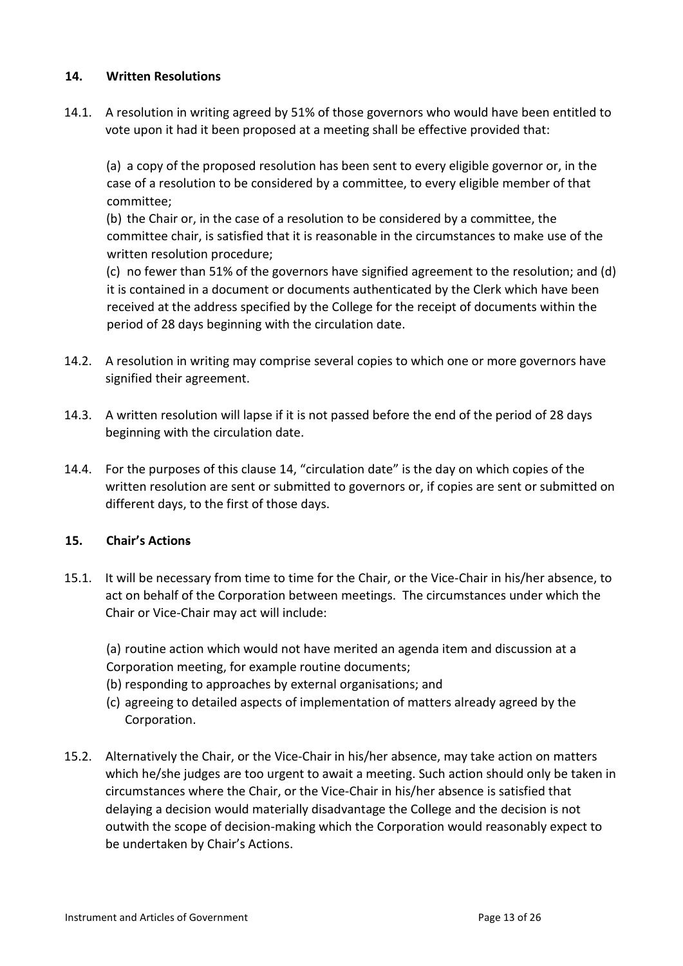## **14. Written Resolutions**

14.1. A resolution in writing agreed by 51% of those governors who would have been entitled to vote upon it had it been proposed at a meeting shall be effective provided that:

(a) a copy of the proposed resolution has been sent to every eligible governor or, in the case of a resolution to be considered by a committee, to every eligible member of that committee;

(b) the Chair or, in the case of a resolution to be considered by a committee, the committee chair, is satisfied that it is reasonable in the circumstances to make use of the written resolution procedure;

(c) no fewer than 51% of the governors have signified agreement to the resolution; and (d) it is contained in a document or documents authenticated by the Clerk which have been received at the address specified by the College for the receipt of documents within the period of 28 days beginning with the circulation date.

- 14.2. A resolution in writing may comprise several copies to which one or more governors have signified their agreement.
- 14.3. A written resolution will lapse if it is not passed before the end of the period of 28 days beginning with the circulation date.
- 14.4. For the purposes of this clause 14, "circulation date" is the day on which copies of the written resolution are sent or submitted to governors or, if copies are sent or submitted on different days, to the first of those days.

## **15. Chair's Actions**

- 15.1. It will be necessary from time to time for the Chair, or the Vice-Chair in his/her absence, to act on behalf of the Corporation between meetings. The circumstances under which the Chair or Vice-Chair may act will include:
	- (a) routine action which would not have merited an agenda item and discussion at a Corporation meeting, for example routine documents;
	- (b) responding to approaches by external organisations; and
	- (c) agreeing to detailed aspects of implementation of matters already agreed by the Corporation.
- 15.2. Alternatively the Chair, or the Vice-Chair in his/her absence, may take action on matters which he/she judges are too urgent to await a meeting. Such action should only be taken in circumstances where the Chair, or the Vice-Chair in his/her absence is satisfied that delaying a decision would materially disadvantage the College and the decision is not outwith the scope of decision-making which the Corporation would reasonably expect to be undertaken by Chair's Actions.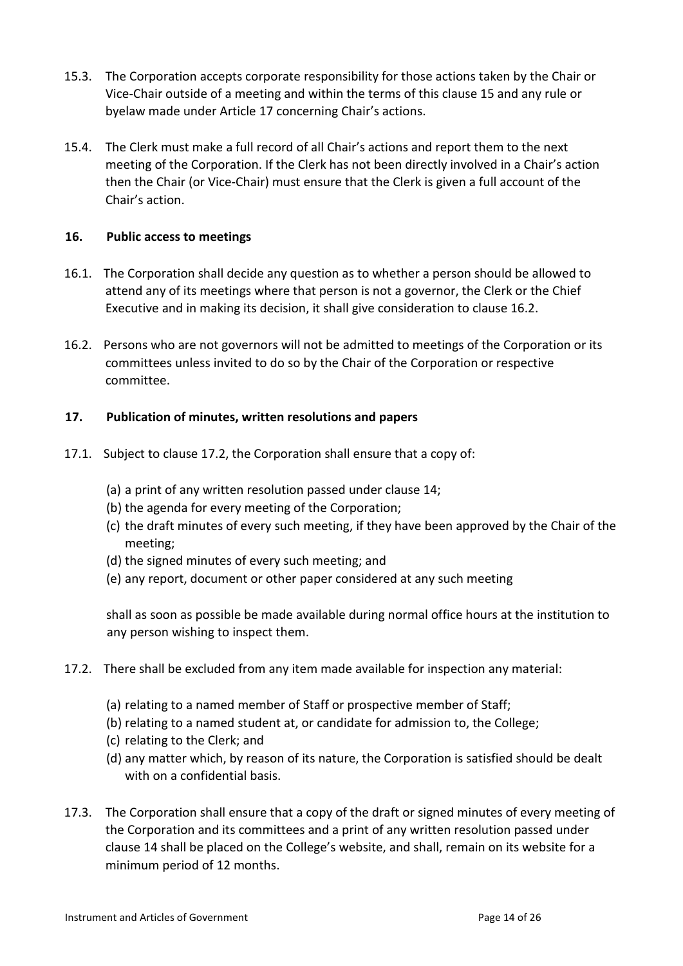- 15.3. The Corporation accepts corporate responsibility for those actions taken by the Chair or Vice-Chair outside of a meeting and within the terms of this clause 15 and any rule or byelaw made under Article 17 concerning Chair's actions.
- 15.4. The Clerk must make a full record of all Chair's actions and report them to the next meeting of the Corporation. If the Clerk has not been directly involved in a Chair's action then the Chair (or Vice-Chair) must ensure that the Clerk is given a full account of the Chair's action.

## **16. Public access to meetings**

- 16.1. The Corporation shall decide any question as to whether a person should be allowed to attend any of its meetings where that person is not a governor, the Clerk or the Chief Executive and in making its decision, it shall give consideration to clause 16.2.
- 16.2. Persons who are not governors will not be admitted to meetings of the Corporation or its committees unless invited to do so by the Chair of the Corporation or respective committee.

## **17. Publication of minutes, written resolutions and papers**

- 17.1. Subject to clause 17.2, the Corporation shall ensure that a copy of:
	- (a) a print of any written resolution passed under clause 14;
	- (b) the agenda for every meeting of the Corporation;
	- (c) the draft minutes of every such meeting, if they have been approved by the Chair of the meeting;
	- (d) the signed minutes of every such meeting; and
	- (e) any report, document or other paper considered at any such meeting

shall as soon as possible be made available during normal office hours at the institution to any person wishing to inspect them.

- 17.2. There shall be excluded from any item made available for inspection any material:
	- (a) relating to a named member of Staff or prospective member of Staff;
	- (b) relating to a named student at, or candidate for admission to, the College;
	- (c) relating to the Clerk; and
	- (d) any matter which, by reason of its nature, the Corporation is satisfied should be dealt with on a confidential basis.
- 17.3. The Corporation shall ensure that a copy of the draft or signed minutes of every meeting of the Corporation and its committees and a print of any written resolution passed under clause 14 shall be placed on the College's website, and shall, remain on its website for a minimum period of 12 months.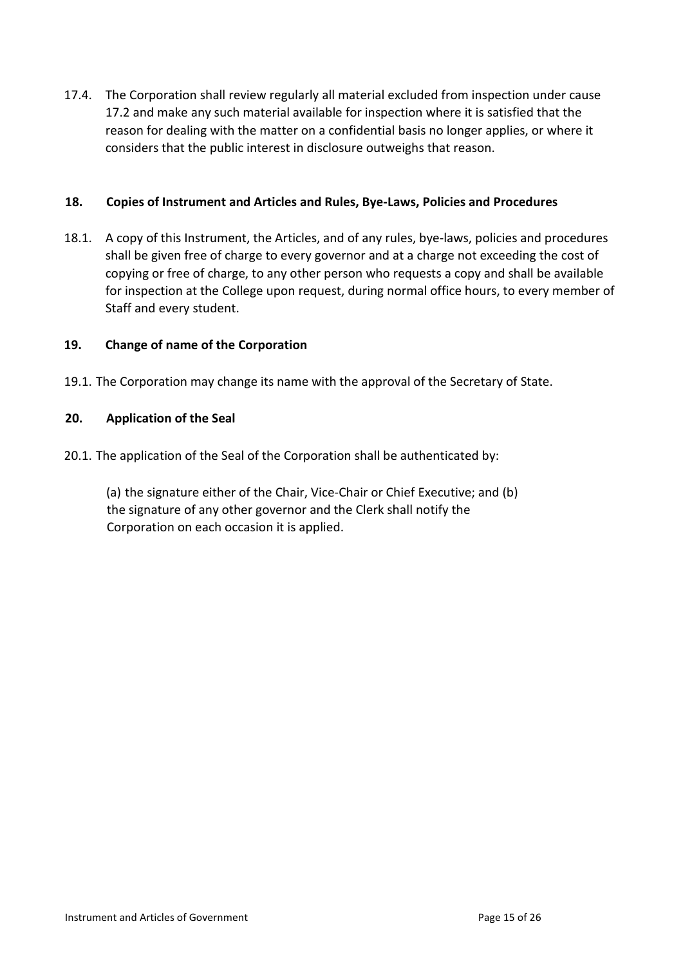17.4. The Corporation shall review regularly all material excluded from inspection under cause 17.2 and make any such material available for inspection where it is satisfied that the reason for dealing with the matter on a confidential basis no longer applies, or where it considers that the public interest in disclosure outweighs that reason.

## **18. Copies of Instrument and Articles and Rules, Bye-Laws, Policies and Procedures**

18.1. A copy of this Instrument, the Articles, and of any rules, bye-laws, policies and procedures shall be given free of charge to every governor and at a charge not exceeding the cost of copying or free of charge, to any other person who requests a copy and shall be available for inspection at the College upon request, during normal office hours, to every member of Staff and every student.

## **19. Change of name of the Corporation**

19.1. The Corporation may change its name with the approval of the Secretary of State.

## **20. Application of the Seal**

20.1. The application of the Seal of the Corporation shall be authenticated by:

(a) the signature either of the Chair, Vice-Chair or Chief Executive; and (b) the signature of any other governor and the Clerk shall notify the Corporation on each occasion it is applied.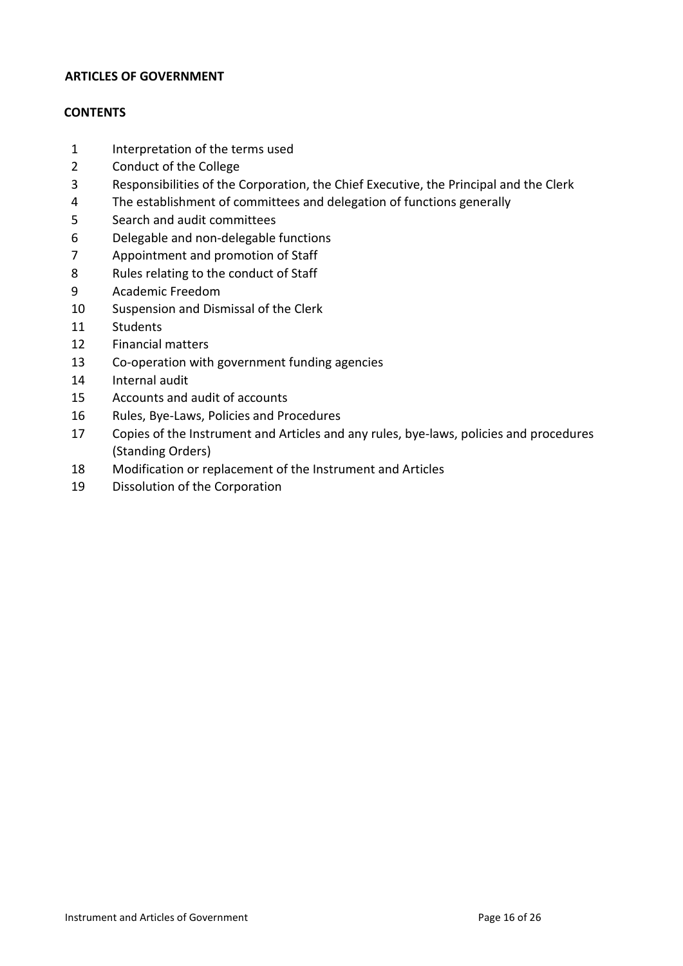#### **ARTICLES OF GOVERNMENT**

## **CONTENTS**

- Interpretation of the terms used
- Conduct of the College
- Responsibilities of the Corporation, the Chief Executive, the Principal and the Clerk
- The establishment of committees and delegation of functions generally
- Search and audit committees
- Delegable and non-delegable functions
- Appointment and promotion of Staff
- Rules relating to the conduct of Staff
- Academic Freedom
- Suspension and Dismissal of the Clerk
- Students
- Financial matters
- Co-operation with government funding agencies
- Internal audit
- Accounts and audit of accounts
- Rules, Bye-Laws, Policies and Procedures
- Copies of the Instrument and Articles and any rules, bye-laws, policies and procedures (Standing Orders)
- Modification or replacement of the Instrument and Articles
- Dissolution of the Corporation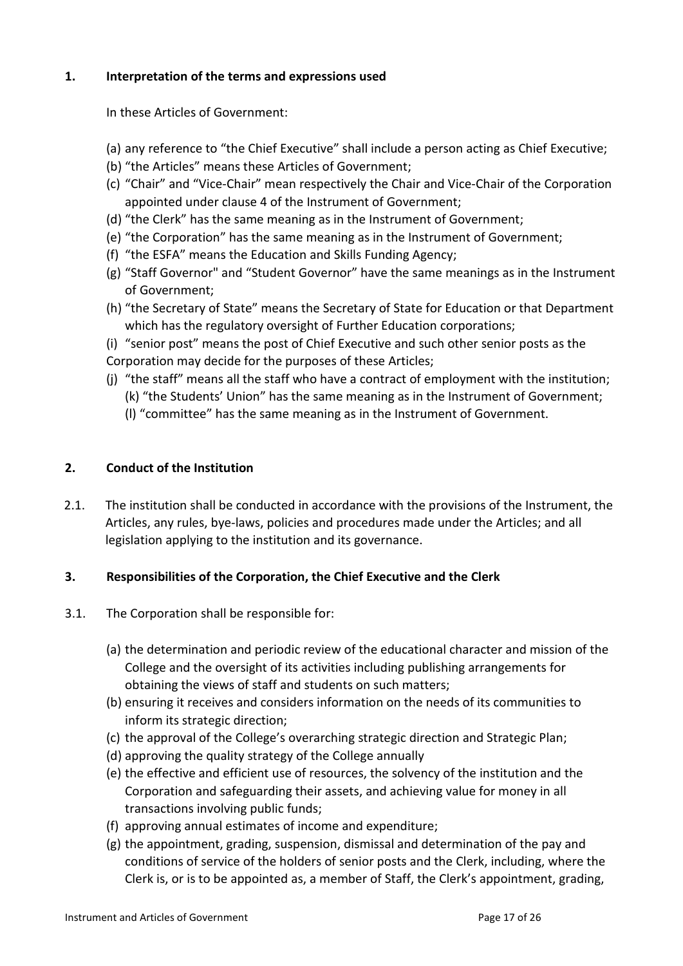## **1. Interpretation of the terms and expressions used**

In these Articles of Government:

- (a) any reference to "the Chief Executive" shall include a person acting as Chief Executive;
- (b) "the Articles" means these Articles of Government;
- (c) "Chair" and "Vice-Chair" mean respectively the Chair and Vice-Chair of the Corporation appointed under clause 4 of the Instrument of Government;
- (d) "the Clerk" has the same meaning as in the Instrument of Government;
- (e) "the Corporation" has the same meaning as in the Instrument of Government;
- (f) "the ESFA" means the Education and Skills Funding Agency;
- (g) "Staff Governor" and "Student Governor" have the same meanings as in the Instrument of Government;
- (h) "the Secretary of State" means the Secretary of State for Education or that Department which has the regulatory oversight of Further Education corporations;
- (i) "senior post" means the post of Chief Executive and such other senior posts as the
- Corporation may decide for the purposes of these Articles;
- (j) "the staff" means all the staff who have a contract of employment with the institution;
	- (k) "the Students' Union" has the same meaning as in the Instrument of Government;
		- (l) "committee" has the same meaning as in the Instrument of Government.

#### **2. Conduct of the Institution**

2.1. The institution shall be conducted in accordance with the provisions of the Instrument, the Articles, any rules, bye-laws, policies and procedures made under the Articles; and all legislation applying to the institution and its governance.

#### **3. Responsibilities of the Corporation, the Chief Executive and the Clerk**

- 3.1. The Corporation shall be responsible for:
	- (a) the determination and periodic review of the educational character and mission of the College and the oversight of its activities including publishing arrangements for obtaining the views of staff and students on such matters;
	- (b) ensuring it receives and considers information on the needs of its communities to inform its strategic direction;
	- (c) the approval of the College's overarching strategic direction and Strategic Plan;
	- (d) approving the quality strategy of the College annually
	- (e) the effective and efficient use of resources, the solvency of the institution and the Corporation and safeguarding their assets, and achieving value for money in all transactions involving public funds;
	- (f) approving annual estimates of income and expenditure;
	- (g) the appointment, grading, suspension, dismissal and determination of the pay and conditions of service of the holders of senior posts and the Clerk, including, where the Clerk is, or is to be appointed as, a member of Staff, the Clerk's appointment, grading,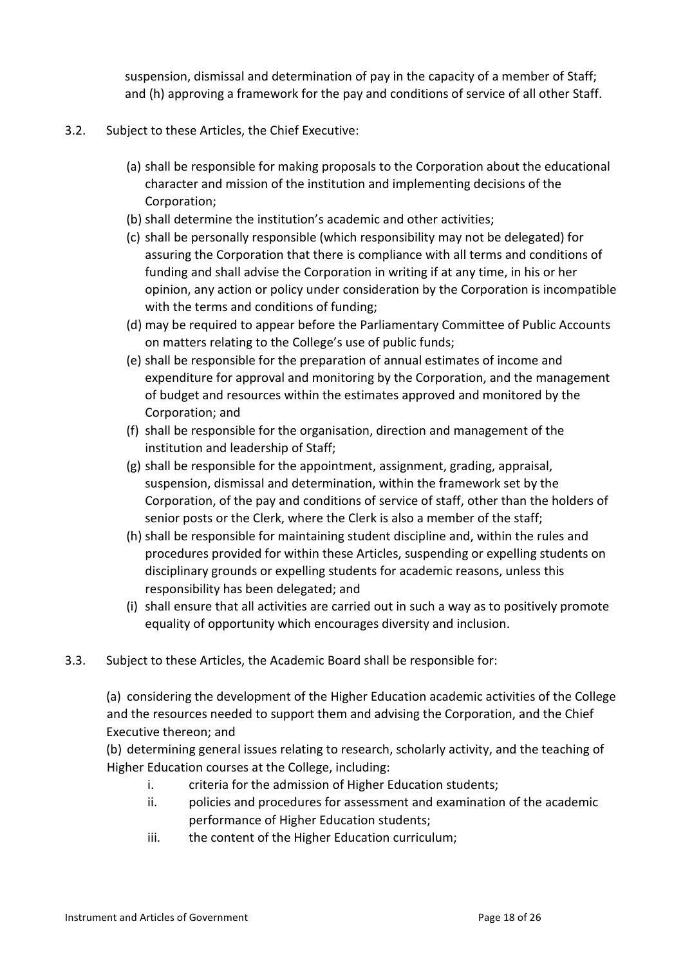suspension, dismissal and determination of pay in the capacity of a member of Staff; and (h) approving a framework for the pay and conditions of service of all other Staff.

- 3.2. Subject to these Articles, the Chief Executive:
	- (a) shall be responsible for making proposals to the Corporation about the educational character and mission of the institution and implementing decisions of the Corporation;
	- (b) shall determine the institution's academic and other activities;
	- (c) shall be personally responsible (which responsibility may not be delegated) for assuring the Corporation that there is compliance with all terms and conditions of funding and shall advise the Corporation in writing if at any time, in his or her opinion, any action or policy under consideration by the Corporation is incompatible with the terms and conditions of funding;
	- (d) may be required to appear before the Parliamentary Committee of Public Accounts on matters relating to the College's use of public funds;
	- (e) shall be responsible for the preparation of annual estimates of income and expenditure for approval and monitoring by the Corporation, and the management of budget and resources within the estimates approved and monitored by the Corporation; and
	- (f) shall be responsible for the organisation, direction and management of the institution and leadership of Staff;
	- (g) shall be responsible for the appointment, assignment, grading, appraisal, suspension, dismissal and determination, within the framework set by the Corporation, of the pay and conditions of service of staff, other than the holders of senior posts or the Clerk, where the Clerk is also a member of the staff;
	- (h) shall be responsible for maintaining student discipline and, within the rules and procedures provided for within these Articles, suspending or expelling students on disciplinary grounds or expelling students for academic reasons, unless this responsibility has been delegated; and
	- (i) shall ensure that all activities are carried out in such a way as to positively promote equality of opportunity which encourages diversity and inclusion.
- 3.3. Subject to these Articles, the Academic Board shall be responsible for:

(a) considering the development of the Higher Education academic activities of the College and the resources needed to support them and advising the Corporation, and the Chief Executive thereon; and

(b) determining general issues relating to research, scholarly activity, and the teaching of Higher Education courses at the College, including:

- i. criteria for the admission of Higher Education students;
- ii. policies and procedures for assessment and examination of the academic performance of Higher Education students;
- iii. the content of the Higher Education curriculum;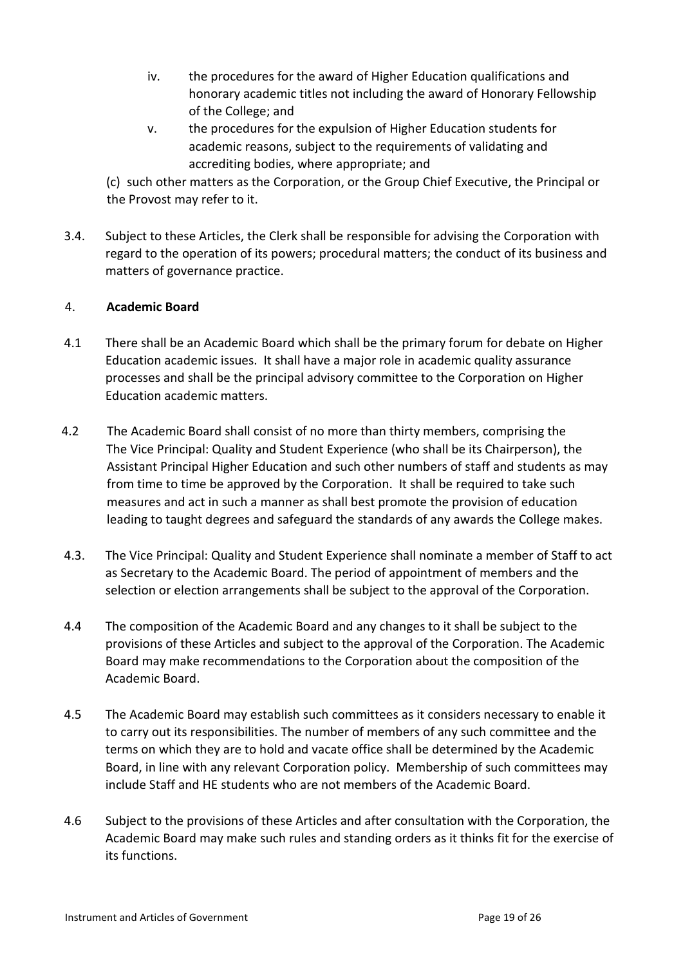- iv. the procedures for the award of Higher Education qualifications and honorary academic titles not including the award of Honorary Fellowship of the College; and
- v. the procedures for the expulsion of Higher Education students for academic reasons, subject to the requirements of validating and accrediting bodies, where appropriate; and

(c) such other matters as the Corporation, or the Group Chief Executive, the Principal or the Provost may refer to it.

3.4. Subject to these Articles, the Clerk shall be responsible for advising the Corporation with regard to the operation of its powers; procedural matters; the conduct of its business and matters of governance practice.

## 4. **Academic Board**

- 4.1 There shall be an Academic Board which shall be the primary forum for debate on Higher Education academic issues. It shall have a major role in academic quality assurance processes and shall be the principal advisory committee to the Corporation on Higher Education academic matters.
- 4.2 The Academic Board shall consist of no more than thirty members, comprising the The Vice Principal: Quality and Student Experience (who shall be its Chairperson), the Assistant Principal Higher Education and such other numbers of staff and students as may from time to time be approved by the Corporation. It shall be required to take such measures and act in such a manner as shall best promote the provision of education leading to taught degrees and safeguard the standards of any awards the College makes.
- 4.3. The Vice Principal: Quality and Student Experience shall nominate a member of Staff to act as Secretary to the Academic Board. The period of appointment of members and the selection or election arrangements shall be subject to the approval of the Corporation.
- 4.4 The composition of the Academic Board and any changes to it shall be subject to the provisions of these Articles and subject to the approval of the Corporation. The Academic Board may make recommendations to the Corporation about the composition of the Academic Board.
- 4.5 The Academic Board may establish such committees as it considers necessary to enable it to carry out its responsibilities. The number of members of any such committee and the terms on which they are to hold and vacate office shall be determined by the Academic Board, in line with any relevant Corporation policy. Membership of such committees may include Staff and HE students who are not members of the Academic Board.
- 4.6 Subject to the provisions of these Articles and after consultation with the Corporation, the Academic Board may make such rules and standing orders as it thinks fit for the exercise of its functions.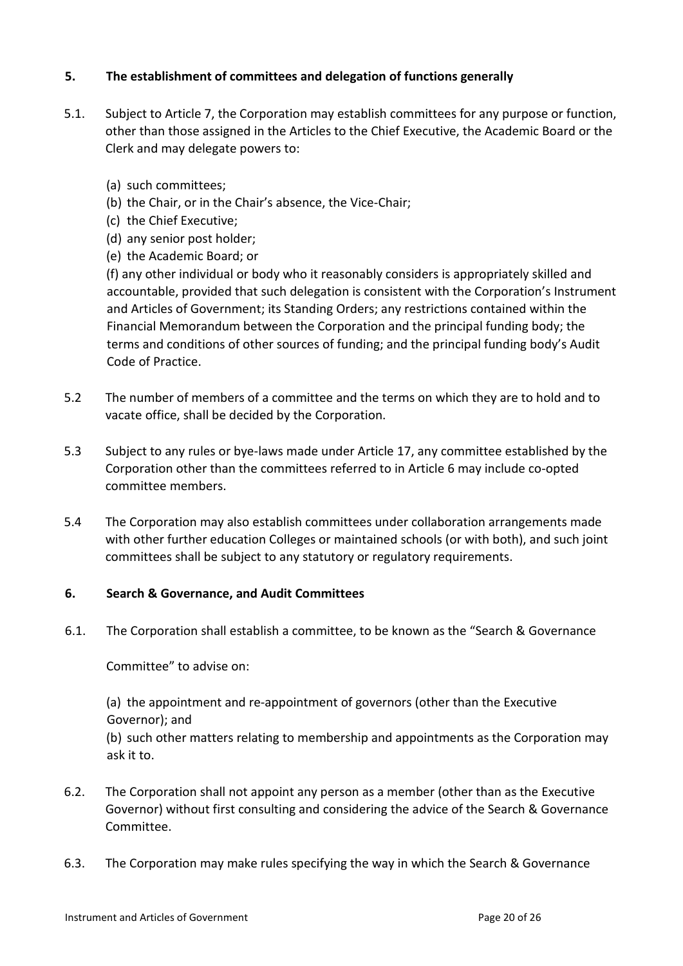## **5. The establishment of committees and delegation of functions generally**

- 5.1. Subject to Article 7, the Corporation may establish committees for any purpose or function, other than those assigned in the Articles to the Chief Executive, the Academic Board or the Clerk and may delegate powers to:
	- (a) such committees;
	- (b) the Chair, or in the Chair's absence, the Vice-Chair;
	- (c) the Chief Executive;
	- (d) any senior post holder;
	- (e) the Academic Board; or

(f) any other individual or body who it reasonably considers is appropriately skilled and accountable, provided that such delegation is consistent with the Corporation's Instrument and Articles of Government; its Standing Orders; any restrictions contained within the Financial Memorandum between the Corporation and the principal funding body; the terms and conditions of other sources of funding; and the principal funding body's Audit Code of Practice.

- 5.2 The number of members of a committee and the terms on which they are to hold and to vacate office, shall be decided by the Corporation.
- 5.3 Subject to any rules or bye-laws made under Article 17, any committee established by the Corporation other than the committees referred to in Article 6 may include co-opted committee members.
- 5.4 The Corporation may also establish committees under collaboration arrangements made with other further education Colleges or maintained schools (or with both), and such joint committees shall be subject to any statutory or regulatory requirements.

#### **6. Search & Governance, and Audit Committees**

6.1. The Corporation shall establish a committee, to be known as the "Search & Governance

Committee" to advise on:

(a) the appointment and re-appointment of governors (other than the Executive Governor); and

(b) such other matters relating to membership and appointments as the Corporation may ask it to.

- 6.2. The Corporation shall not appoint any person as a member (other than as the Executive Governor) without first consulting and considering the advice of the Search & Governance Committee.
- 6.3. The Corporation may make rules specifying the way in which the Search & Governance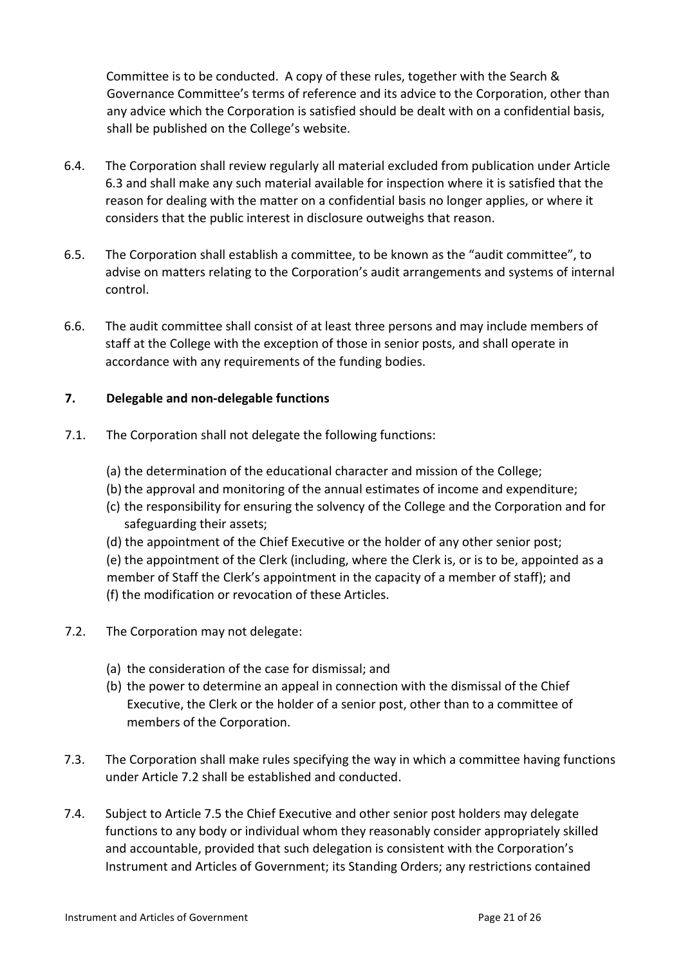Committee is to be conducted. A copy of these rules, together with the Search & Governance Committee's terms of reference and its advice to the Corporation, other than any advice which the Corporation is satisfied should be dealt with on a confidential basis, shall be published on the College's website.

- 6.4. The Corporation shall review regularly all material excluded from publication under Article 6.3 and shall make any such material available for inspection where it is satisfied that the reason for dealing with the matter on a confidential basis no longer applies, or where it considers that the public interest in disclosure outweighs that reason.
- 6.5. The Corporation shall establish a committee, to be known as the "audit committee", to advise on matters relating to the Corporation's audit arrangements and systems of internal control.
- 6.6. The audit committee shall consist of at least three persons and may include members of staff at the College with the exception of those in senior posts, and shall operate in accordance with any requirements of the funding bodies.

## **7. Delegable and non-delegable functions**

- 7.1. The Corporation shall not delegate the following functions:
	- (a) the determination of the educational character and mission of the College;
	- (b) the approval and monitoring of the annual estimates of income and expenditure;
	- (c) the responsibility for ensuring the solvency of the College and the Corporation and for safeguarding their assets;
	- (d) the appointment of the Chief Executive or the holder of any other senior post;
	- (e) the appointment of the Clerk (including, where the Clerk is, or is to be, appointed as a member of Staff the Clerk's appointment in the capacity of a member of staff); and (f) the modification or revocation of these Articles.
- 7.2. The Corporation may not delegate:
	- (a) the consideration of the case for dismissal; and
	- (b) the power to determine an appeal in connection with the dismissal of the Chief Executive, the Clerk or the holder of a senior post, other than to a committee of members of the Corporation.
- 7.3. The Corporation shall make rules specifying the way in which a committee having functions under Article 7.2 shall be established and conducted.
- 7.4. Subject to Article 7.5 the Chief Executive and other senior post holders may delegate functions to any body or individual whom they reasonably consider appropriately skilled and accountable, provided that such delegation is consistent with the Corporation's Instrument and Articles of Government; its Standing Orders; any restrictions contained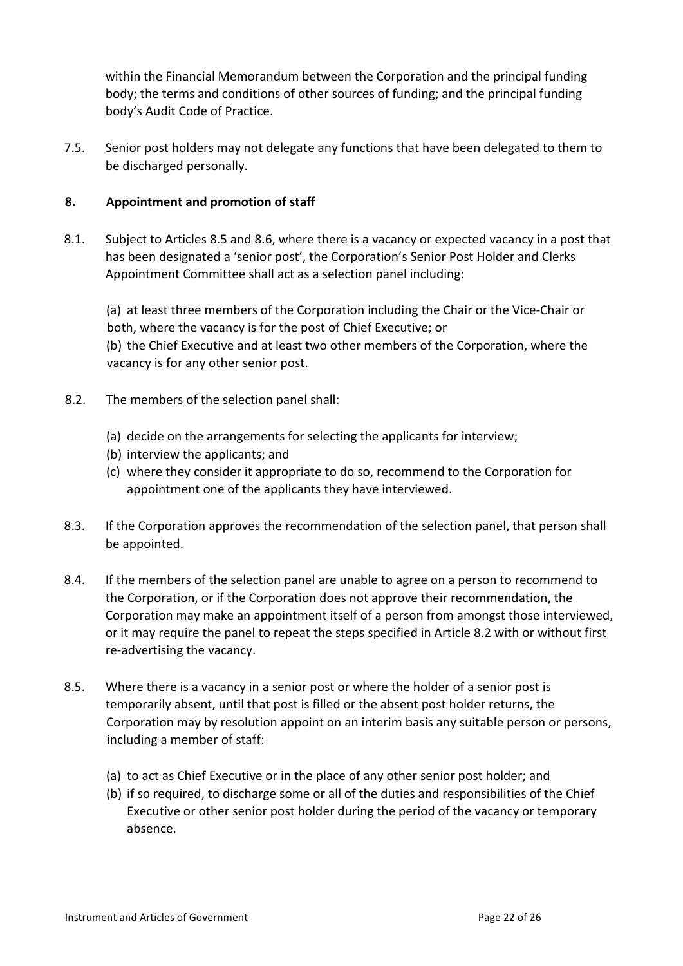within the Financial Memorandum between the Corporation and the principal funding body; the terms and conditions of other sources of funding; and the principal funding body's Audit Code of Practice.

7.5. Senior post holders may not delegate any functions that have been delegated to them to be discharged personally.

## **8. Appointment and promotion of staff**

8.1. Subject to Articles 8.5 and 8.6, where there is a vacancy or expected vacancy in a post that has been designated a 'senior post', the Corporation's Senior Post Holder and Clerks Appointment Committee shall act as a selection panel including:

(a) at least three members of the Corporation including the Chair or the Vice-Chair or both, where the vacancy is for the post of Chief Executive; or

(b) the Chief Executive and at least two other members of the Corporation, where the vacancy is for any other senior post.

- 8.2. The members of the selection panel shall:
	- (a) decide on the arrangements for selecting the applicants for interview;
	- (b) interview the applicants; and
	- (c) where they consider it appropriate to do so, recommend to the Corporation for appointment one of the applicants they have interviewed.
- 8.3. If the Corporation approves the recommendation of the selection panel, that person shall be appointed.
- 8.4. If the members of the selection panel are unable to agree on a person to recommend to the Corporation, or if the Corporation does not approve their recommendation, the Corporation may make an appointment itself of a person from amongst those interviewed, or it may require the panel to repeat the steps specified in Article 8.2 with or without first re-advertising the vacancy.
- 8.5. Where there is a vacancy in a senior post or where the holder of a senior post is temporarily absent, until that post is filled or the absent post holder returns, the Corporation may by resolution appoint on an interim basis any suitable person or persons, including a member of staff:
	- (a) to act as Chief Executive or in the place of any other senior post holder; and
	- (b) if so required, to discharge some or all of the duties and responsibilities of the Chief Executive or other senior post holder during the period of the vacancy or temporary absence.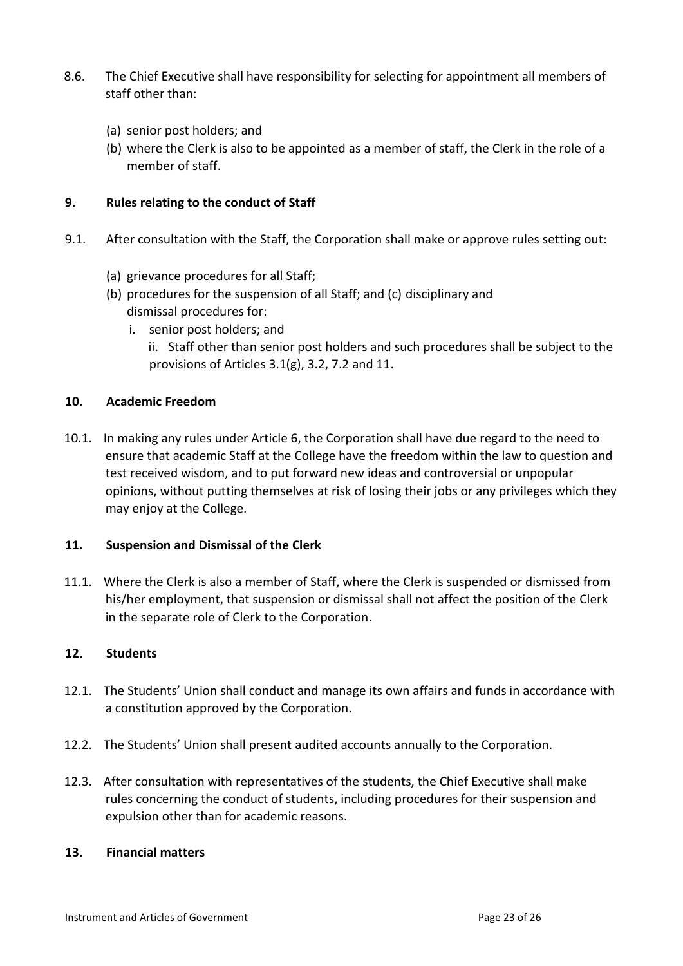- 8.6. The Chief Executive shall have responsibility for selecting for appointment all members of staff other than:
	- (a) senior post holders; and
	- (b) where the Clerk is also to be appointed as a member of staff, the Clerk in the role of a member of staff.

## **9. Rules relating to the conduct of Staff**

- 9.1. After consultation with the Staff, the Corporation shall make or approve rules setting out:
	- (a) grievance procedures for all Staff;
	- (b) procedures for the suspension of all Staff; and (c) disciplinary and dismissal procedures for:
		- i. senior post holders; and
			- ii. Staff other than senior post holders and such procedures shall be subject to the provisions of Articles 3.1(g), 3.2, 7.2 and 11.

## **10. Academic Freedom**

10.1. In making any rules under Article 6, the Corporation shall have due regard to the need to ensure that academic Staff at the College have the freedom within the law to question and test received wisdom, and to put forward new ideas and controversial or unpopular opinions, without putting themselves at risk of losing their jobs or any privileges which they may enjoy at the College.

#### **11. Suspension and Dismissal of the Clerk**

11.1. Where the Clerk is also a member of Staff, where the Clerk is suspended or dismissed from his/her employment, that suspension or dismissal shall not affect the position of the Clerk in the separate role of Clerk to the Corporation.

#### **12. Students**

- 12.1. The Students' Union shall conduct and manage its own affairs and funds in accordance with a constitution approved by the Corporation.
- 12.2. The Students' Union shall present audited accounts annually to the Corporation.
- 12.3. After consultation with representatives of the students, the Chief Executive shall make rules concerning the conduct of students, including procedures for their suspension and expulsion other than for academic reasons.

#### **13. Financial matters**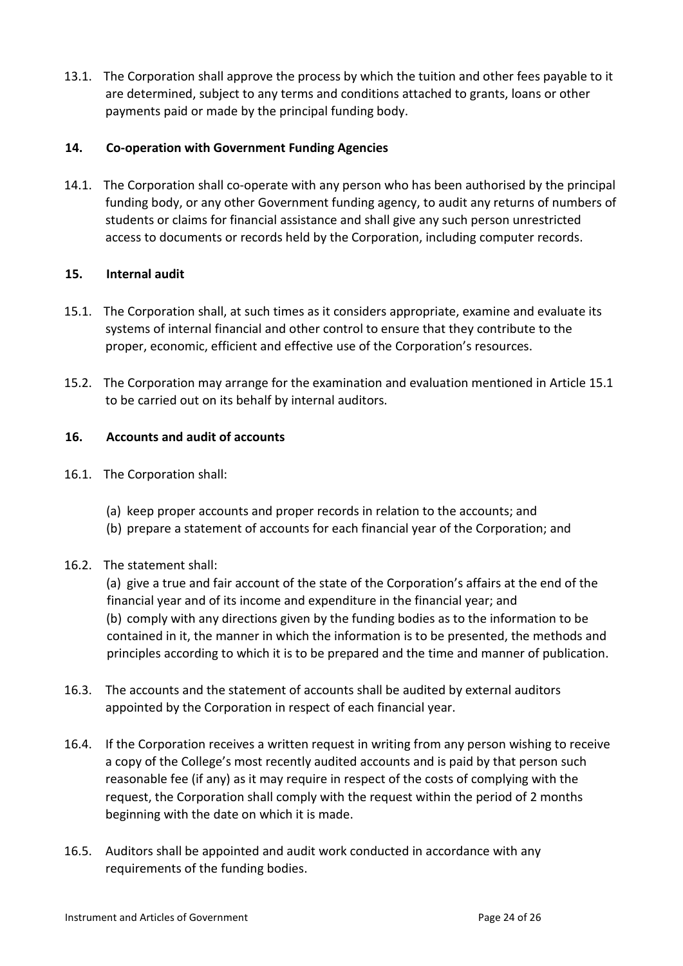13.1. The Corporation shall approve the process by which the tuition and other fees payable to it are determined, subject to any terms and conditions attached to grants, loans or other payments paid or made by the principal funding body.

## **14. Co-operation with Government Funding Agencies**

14.1. The Corporation shall co-operate with any person who has been authorised by the principal funding body, or any other Government funding agency, to audit any returns of numbers of students or claims for financial assistance and shall give any such person unrestricted access to documents or records held by the Corporation, including computer records.

## **15. Internal audit**

- 15.1. The Corporation shall, at such times as it considers appropriate, examine and evaluate its systems of internal financial and other control to ensure that they contribute to the proper, economic, efficient and effective use of the Corporation's resources.
- 15.2. The Corporation may arrange for the examination and evaluation mentioned in Article 15.1 to be carried out on its behalf by internal auditors.

## **16. Accounts and audit of accounts**

- 16.1. The Corporation shall:
	- (a) keep proper accounts and proper records in relation to the accounts; and
	- (b) prepare a statement of accounts for each financial year of the Corporation; and

## 16.2. The statement shall:

(a) give a true and fair account of the state of the Corporation's affairs at the end of the financial year and of its income and expenditure in the financial year; and (b) comply with any directions given by the funding bodies as to the information to be contained in it, the manner in which the information is to be presented, the methods and principles according to which it is to be prepared and the time and manner of publication.

- 16.3. The accounts and the statement of accounts shall be audited by external auditors appointed by the Corporation in respect of each financial year.
- 16.4. If the Corporation receives a written request in writing from any person wishing to receive a copy of the College's most recently audited accounts and is paid by that person such reasonable fee (if any) as it may require in respect of the costs of complying with the request, the Corporation shall comply with the request within the period of 2 months beginning with the date on which it is made.
- 16.5. Auditors shall be appointed and audit work conducted in accordance with any requirements of the funding bodies.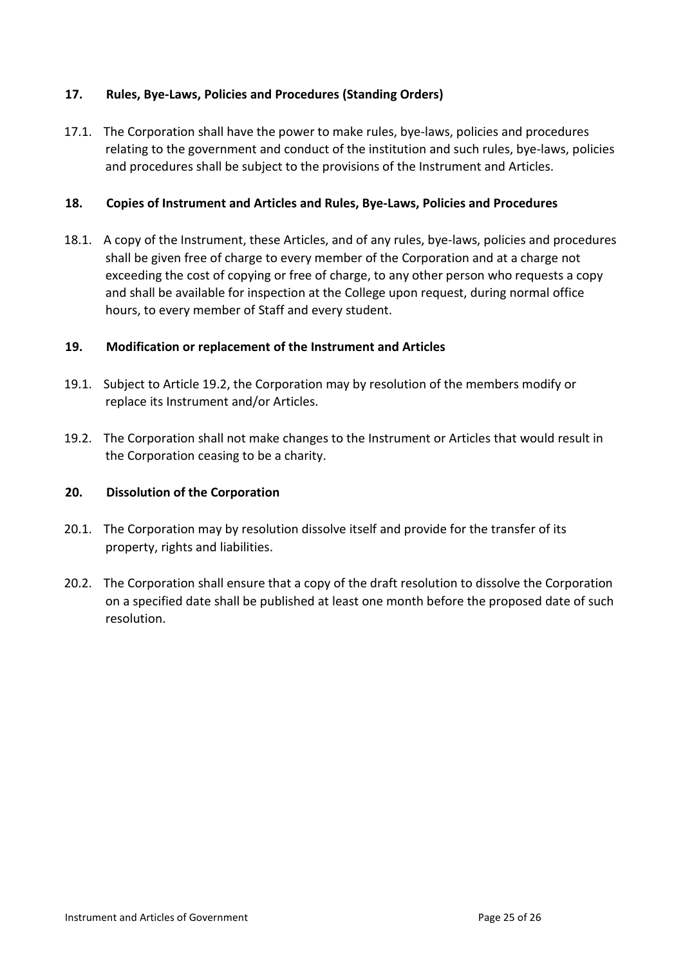## **17. Rules, Bye-Laws, Policies and Procedures (Standing Orders)**

17.1. The Corporation shall have the power to make rules, bye-laws, policies and procedures relating to the government and conduct of the institution and such rules, bye-laws, policies and procedures shall be subject to the provisions of the Instrument and Articles.

#### **18. Copies of Instrument and Articles and Rules, Bye-Laws, Policies and Procedures**

18.1. A copy of the Instrument, these Articles, and of any rules, bye-laws, policies and procedures shall be given free of charge to every member of the Corporation and at a charge not exceeding the cost of copying or free of charge, to any other person who requests a copy and shall be available for inspection at the College upon request, during normal office hours, to every member of Staff and every student.

#### **19. Modification or replacement of the Instrument and Articles**

- 19.1. Subject to Article 19.2, the Corporation may by resolution of the members modify or replace its Instrument and/or Articles.
- 19.2. The Corporation shall not make changes to the Instrument or Articles that would result in the Corporation ceasing to be a charity.

#### **20. Dissolution of the Corporation**

- 20.1. The Corporation may by resolution dissolve itself and provide for the transfer of its property, rights and liabilities.
- 20.2. The Corporation shall ensure that a copy of the draft resolution to dissolve the Corporation on a specified date shall be published at least one month before the proposed date of such resolution.